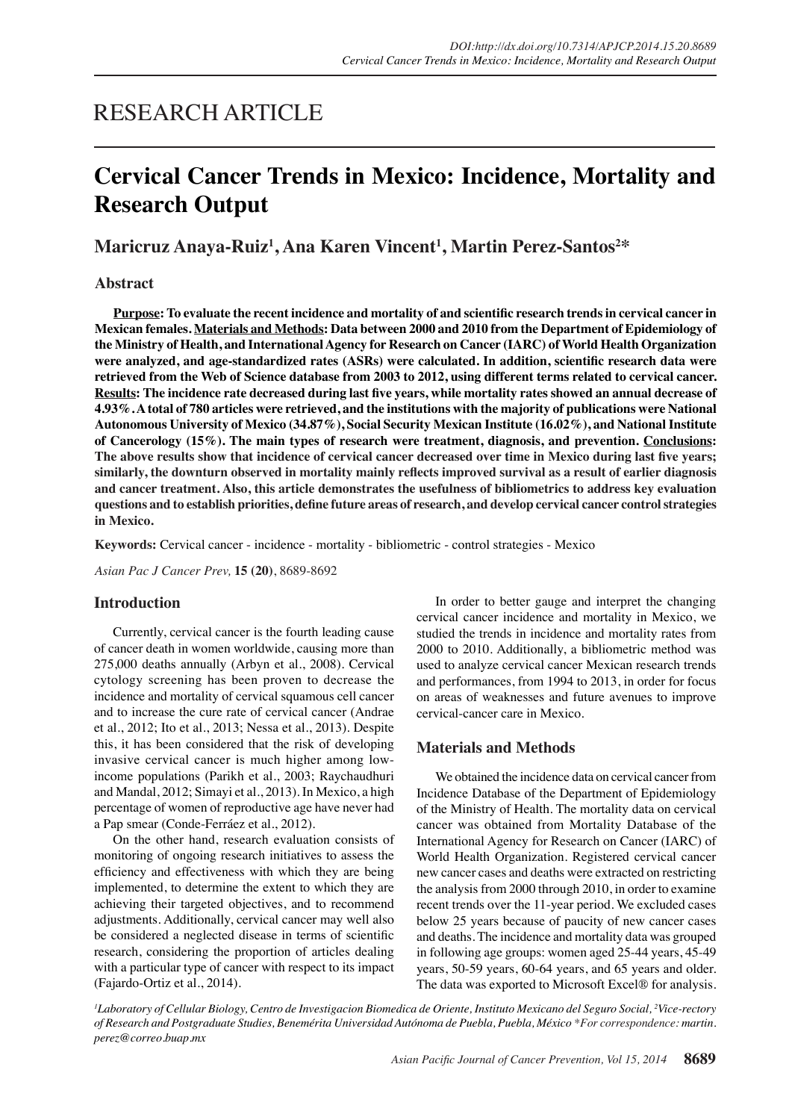## RESEARCH ARTICLE

# **Cervical Cancer Trends in Mexico: Incidence, Mortality and Research Output**

### **Maricruz Anaya-Ruiz1 , Ana Karen Vincent1 , Martin Perez-Santos2 \***

#### **Abstract**

**Purpose: To evaluate the recent incidence and mortality of and scientific research trends in cervical cancer in Mexican females. Materials and Methods: Data between 2000 and 2010 from the Department of Epidemiology of the Ministry of Health, and International Agency for Research on Cancer (IARC) of World Health Organization were analyzed, and age-standardized rates (ASRs) were calculated. In addition, scientific research data were retrieved from the Web of Science database from 2003 to 2012, using different terms related to cervical cancer. Results: The incidence rate decreased during last five years, while mortality rates showed an annual decrease of 4.93%. A total of 780 articles were retrieved, and the institutions with the majority of publications were National Autonomous University of Mexico (34.87%), Social Security Mexican Institute (16.02%), and National Institute of Cancerology (15%). The main types of research were treatment, diagnosis, and prevention. Conclusions: The above results show that incidence of cervical cancer decreased over time in Mexico during last five years; similarly, the downturn observed in mortality mainly reflects improved survival as a result of earlier diagnosis and cancer treatment. Also, this article demonstrates the usefulness of bibliometrics to address key evaluation questions and to establish priorities, define future areas of research, and develop cervical cancer control strategies in Mexico.**

**Keywords:** Cervical cancer - incidence - mortality - bibliometric - control strategies - Mexico

*Asian Pac J Cancer Prev,* **15 (20)**, 8689-8692

#### **Introduction**

Currently, cervical cancer is the fourth leading cause of cancer death in women worldwide, causing more than 275,000 deaths annually (Arbyn et al., 2008). Cervical cytology screening has been proven to decrease the incidence and mortality of cervical squamous cell cancer and to increase the cure rate of cervical cancer (Andrae et al., 2012; Ito et al., 2013; Nessa et al., 2013). Despite this, it has been considered that the risk of developing invasive cervical cancer is much higher among lowincome populations (Parikh et al., 2003; Raychaudhuri and Mandal, 2012; Simayi et al., 2013). In Mexico, a high percentage of women of reproductive age have never had a Pap smear (Conde-Ferráez et al., 2012).

On the other hand, research evaluation consists of monitoring of ongoing research initiatives to assess the efficiency and effectiveness with which they are being implemented, to determine the extent to which they are achieving their targeted objectives, and to recommend adjustments. Additionally, cervical cancer may well also be considered a neglected disease in terms of scientific research, considering the proportion of articles dealing with a particular type of cancer with respect to its impact (Fajardo-Ortiz et al., 2014).

In order to better gauge and interpret the changing cervical cancer incidence and mortality in Mexico, we studied the trends in incidence and mortality rates from 2000 to 2010. Additionally, a bibliometric method was used to analyze cervical cancer Mexican research trends and performances, from 1994 to 2013, in order for focus on areas of weaknesses and future avenues to improve cervical-cancer care in Mexico.

#### **Materials and Methods**

We obtained the incidence data on cervical cancer from Incidence Database of the Department of Epidemiology of the Ministry of Health. The mortality data on cervical cancer was obtained from Mortality Database of the International Agency for Research on Cancer (IARC) of World Health Organization. Registered cervical cancer new cancer cases and deaths were extracted on restricting the analysis from 2000 through 2010, in order to examine recent trends over the 11-year period. We excluded cases below 25 years because of paucity of new cancer cases and deaths. The incidence and mortality data was grouped in following age groups: women aged 25-44 years, 45-49 years, 50-59 years, 60-64 years, and 65 years and older. The data was exported to Microsoft Excel® for analysis.

*1 Laboratory of Cellular Biology, Centro de Investigacion Biomedica de Oriente, Instituto Mexicano del Seguro Social, 2 Vice-rectory of Research and Postgraduate Studies, Benemérita Universidad Autónoma de Puebla, Puebla, México \*For correspondence: martin. perez@correo.buap.mx*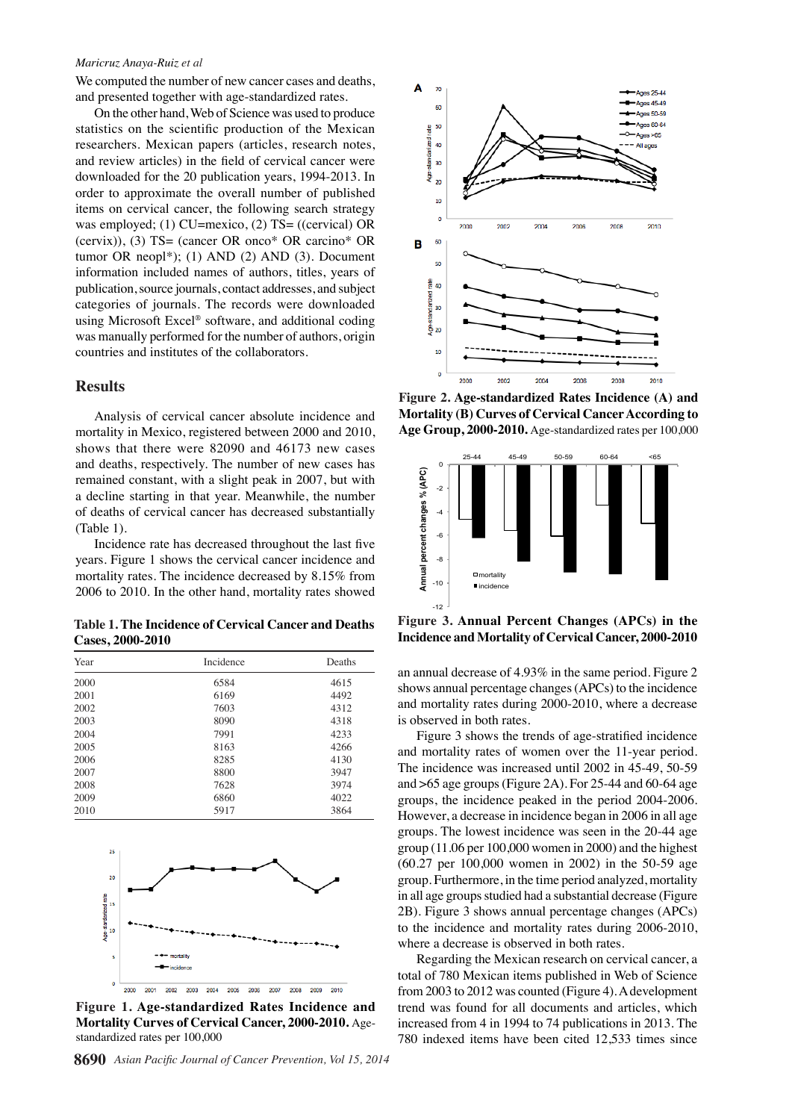#### *Maricruz Anaya-Ruiz et al*

We computed the number of new cancer cases and deaths, and presented together with age-standardized rates.

On the other hand, Web of Science was used to produce statistics on the scientific production of the Mexican researchers. Mexican papers (articles, research notes, and review articles) in the field of cervical cancer were downloaded for the 20 publication years, 1994-2013. In order to approximate the overall number of published items on cervical cancer, the following search strategy was employed; (1) CU=mexico, (2) TS= ((cervical) OR (cervix)), (3) TS= (cancer OR onco\* OR carcino\* OR tumor OR neopl\*); (1) AND (2) AND (3). Document information included names of authors, titles, years of publication, source journals, contact addresses, and subject categories of journals. The records were downloaded using Microsoft Excel® software, and additional coding was manually performed for the number of authors, origin countries and institutes of the collaborators.

#### **Results**

Analysis of cervical cancer absolute incidence and mortality in Mexico, registered between 2000 and 2010, shows that there were 82090 and 46173 new cases and deaths, respectively. The number of new cases has remained constant, with a slight peak in 2007, but with a decline starting in that year. Meanwhile, the number of deaths of cervical cancer has decreased substantially (Table 1).

Incidence rate has decreased throughout the last five years. Figure 1 shows the cervical cancer incidence and mortality rates. The incidence decreased by 8.15% from 2006 to 2010. In the other hand, mortality rates showed

**Table 1. The Incidence of Cervical Cancer and Deaths Cases, 2000-2010**

| Year | Incidence | Deaths |
|------|-----------|--------|
| 2000 | 6584      | 4615   |
| 2001 | 6169      | 4492   |
| 2002 | 7603      | 4312   |
| 2003 | 8090      | 4318   |
| 2004 | 7991      | 4233   |
| 2005 | 8163      | 4266   |
| 2006 | 8285      | 4130   |
| 2007 | 8800      | 3947   |
| 2008 | 7628      | 3974   |
| 2009 | 6860      | 4022   |
| 2010 | 5917      | 3864   |



**Figure 1. Age-standardized Rates Incidence and Mortality Curves of Cervical Cancer, 2000-2010.** Agestandardized rates per 100,000



**Figure 2. Age-standardized Rates Incidence (A) and Mortality (B) Curves of Cervical Cancer According to Age Group, 2000-2010.** Age-standardized rates per 100,000



**Figure 3. Annual Percent Changes (APCs) in the** 

an annual decrease of 4.93% in the same period. Figure 2 shows annual percentage changes (APCs) to the incidence and mortality rates during 2000-2010, where a decrease is observed in both rates.

Figure 3 shows the trends of age-stratified incidence and mortality rates of women over the 11-year period. The incidence was increased until 2002 in 45-49, 50-59 and  $>65$  age groups (Figure 2A). For 25-44 and 60-64 age groups, the incidence peaked in the period 2004-2006. However, a decrease in incidence began in 2006 in all age groups. The lowest incidence was seen in the 20-44 age group (11.06 per 100,000 women in 2000) and the highest (60.27 per 100,000 women in 2002) in the 50-59 age group. Furthermore, in the time period analyzed, mortality in all age groups studied had a substantial decrease (Figure 2B). Figure 3 shows annual percentage changes (APCs) to the incidence and mortality rates during 2006-2010, where a decrease is observed in both rates.

Regarding the Mexican research on cervical cancer, a total of 780 Mexican items published in Web of Science from 2003 to 2012 was counted (Figure 4). A development trend was found for all documents and articles, which increased from 4 in 1994 to 74 publications in 2013. The 780 indexed items have been cited 12,533 times since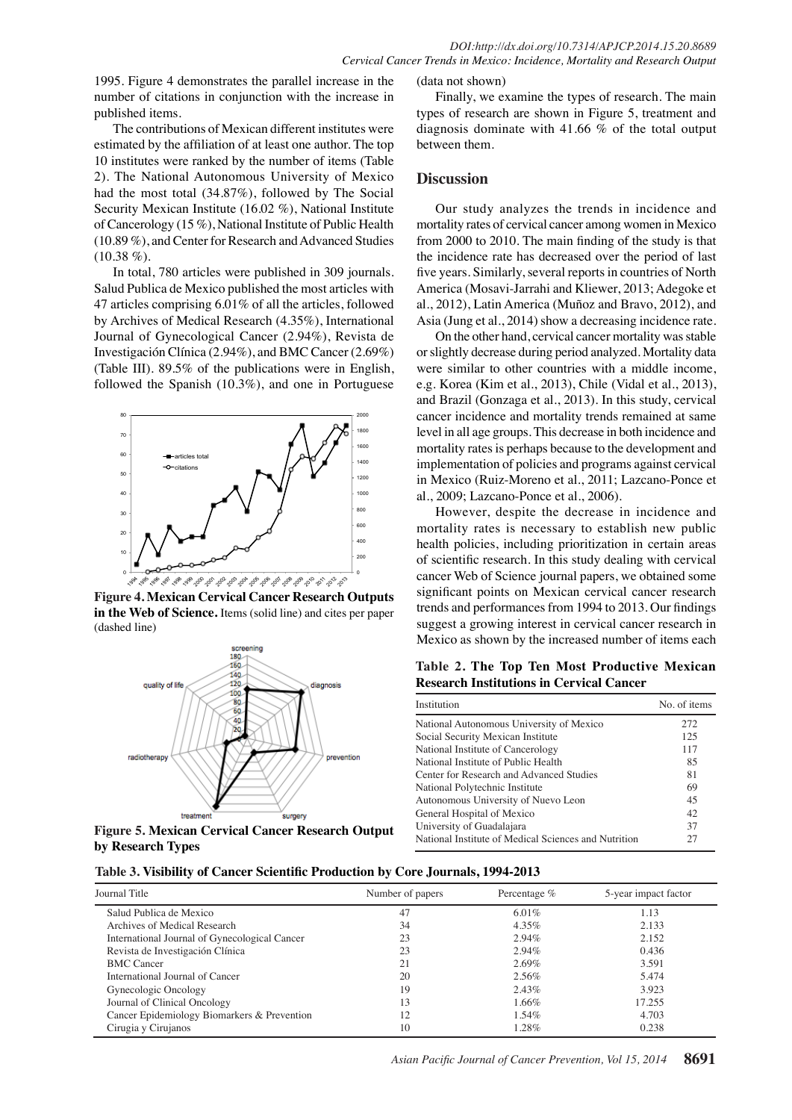1995. Figure 4 demonstrates the parallel increase in the number of citations in conjunction with the increase in published items.

The contributions of Mexican different institutes were estimated by the affiliation of at least one author. The top 10 institutes were ranked by the number of items (Table 2). The National Autonomous University of Mexico had the most total (34.87%), followed by The Social Security Mexican Institute (16.02 %), National Institute of Cancerology (15 %), National Institute of Public Health (10.89 %), and Center for Research and Advanced Studies  $(10.38\%).$ 

In total, 780 articles were published in 309 journals. Salud Publica de Mexico published the most articles with 47 articles comprising 6.01% of all the articles, followed by Archives of Medical Research (4.35%), International Journal of Gynecological Cancer (2.94%), Revista de Investigación Clínica (2.94%), and BMC Cancer (2.69%) (Table III). 89.5% of the publications were in English, followed the Spanish (10.3%), and one in Portuguese



**Figure 4. Mexican Cervical Cancer Research Outputs in the Web of Science.** Items (solid line) and cites per paper (dashed line)



**Figure 5. Mexican Cervical Cancer Research Output by Research Types**

**Table 3. Visibility of Cancer Scientific Production by Core Journals, 1994-2013**

#### (data not shown)

Finally, we examine the types of research. The main types of research are shown in Figure 5, treatment and diagnosis dominate with 41.66 % of the total output between them.

#### **Discussion**

Our study analyzes the trends in incidence and mortality rates of cervical cancer among women in Mexico from 2000 to 2010. The main finding of the study is that the incidence rate has decreased over the period of last five years. Similarly, several reports in countries of North America (Mosavi-Jarrahi and Kliewer, 2013; Adegoke et al., 2012), Latin America (Muñoz and Bravo, 2012), and Asia (Jung et al., 2014) show a decreasing incidence rate.

On the other hand, cervical cancer mortality was stable or slightly decrease during period analyzed. Mortality data were similar to other countries with a middle income, e.g. Korea (Kim et al., 2013), Chile (Vidal et al., 2013), and Brazil (Gonzaga et al., 2013). In this study, cervical cancer incidence and mortality trends remained at same level in all age groups. This decrease in both incidence and mortality rates is perhaps because to the development and implementation of policies and programs against cervical in Mexico (Ruiz-Moreno et al., 2011; Lazcano-Ponce et al., 2009; Lazcano-Ponce et al., 2006).

However, despite the decrease in incidence and mortality rates is necessary to establish new public health policies, including prioritization in certain areas of scientific research. In this study dealing with cervical cancer Web of Science journal papers, we obtained some significant points on Mexican cervical cancer research trends and performances from 1994 to 2013. Our findings suggest a growing interest in cervical cancer research in Mexico as shown by the increased number of items each

**Table 2. The Top Ten Most Productive Mexican Research Institutions in Cervical Cancer**

| Institution                                          | No. of items |
|------------------------------------------------------|--------------|
| National Autonomous University of Mexico             | 272          |
| Social Security Mexican Institute                    | 125          |
| National Institute of Cancerology                    | 117          |
| National Institute of Public Health                  | 85           |
| Center for Research and Advanced Studies             | 81           |
| National Polytechnic Institute                       | 69           |
| Autonomous University of Nuevo Leon                  | 45           |
| General Hospital of Mexico                           | 42           |
| University of Guadalajara                            | 37           |
| National Institute of Medical Sciences and Nutrition | 27           |

| Journal Title                                 | Number of papers | Percentage $%$ | 5-year impact factor |
|-----------------------------------------------|------------------|----------------|----------------------|
| Salud Publica de Mexico                       | 47               | $6.01\%$       | 1.13                 |
| Archives of Medical Research                  | 34               | $4.35\%$       | 2.133                |
| International Journal of Gynecological Cancer | 23               | 2.94%          | 2.152                |
| Revista de Investigación Clínica              | 23               | $2.94\%$       | 0.436                |
| <b>BMC</b> Cancer                             |                  | $2.69\%$       | 3.591                |
| International Journal of Cancer               | 20               | 2.56%          | 5.474                |
| Gynecologic Oncology                          | 19               | $2.43\%$       | 3.923                |
| Journal of Clinical Oncology                  | 13               | 1.66%          | 17.255               |
| Cancer Epidemiology Biomarkers & Prevention   | 12               | $1.54\%$       | 4.703                |
| Cirugia y Cirujanos                           | 10               | $1.28\%$       | 0.238                |